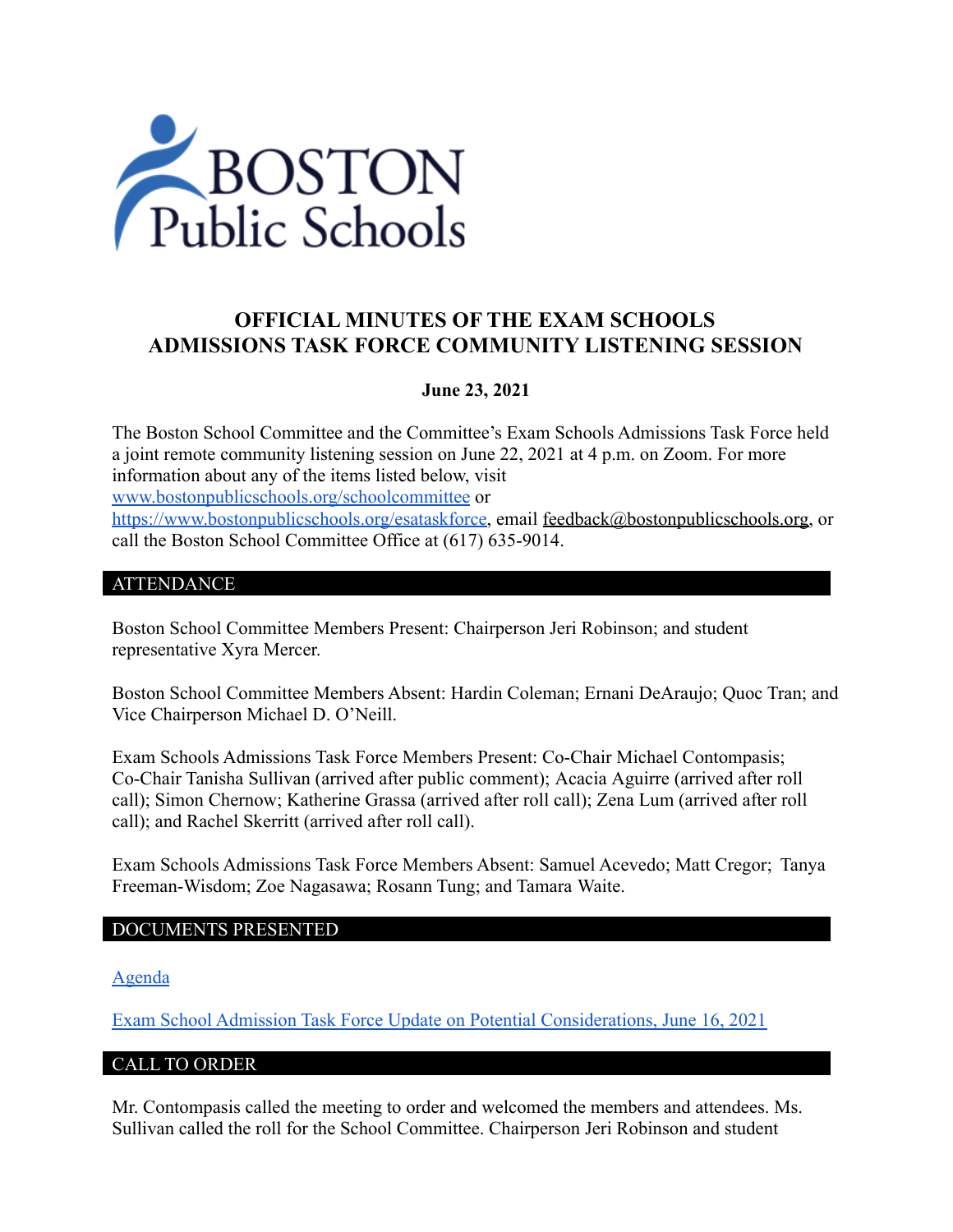

# **OFFICIAL MINUTES OF THE EXAM SCHOOLS ADMISSIONS TASK FORCE COMMUNITY LISTENING SESSION**

## **June 23, 2021**

The Boston School Committee and the Committee's Exam Schools Admissions Task Force held a joint remote community listening session on June 22, 2021 at 4 p.m. on Zoom. For more information about any of the items listed below, visit [www.bostonpublicschools.org/schoolcommittee](https://www.bostonpublicschools.org/domain/162) or [https://www.bostonpublicschools.org/esataskforce,](https://www.bostonpublicschools.org/esataskforce) email [feedback@bostonpublicschools.org,](mailto:feedback@bostonpublicschools.org) or call the Boston School Committee Office at (617) 635-9014.

## ATTENDANCE

Boston School Committee Members Present: Chairperson Jeri Robinson; and student representative Xyra Mercer.

Boston School Committee Members Absent: Hardin Coleman; Ernani DeAraujo; Quoc Tran; and Vice Chairperson Michael D. O'Neill.

Exam Schools Admissions Task Force Members Present: Co-Chair Michael Contompasis; Co-Chair Tanisha Sullivan (arrived after public comment); Acacia Aguirre (arrived after roll call); Simon Chernow; Katherine Grassa (arrived after roll call); Zena Lum (arrived after roll call); and Rachel Skerritt (arrived after roll call).

Exam Schools Admissions Task Force Members Absent: Samuel Acevedo; Matt Cregor; Tanya Freeman-Wisdom; Zoe Nagasawa; Rosann Tung; and Tamara Waite.

#### DOCUMENTS PRESENTED

[Agenda](https://www.boston.gov/public-notices/15756256)

[Exam School Admission Task Force Update on Potential Considerations, June 16, 2021](https://www.bostonpublicschools.org/cms/lib/MA01906464/Centricity/Domain/162/Exam%20Schools%20Task%20Force%20Presentation%20to%20School%20Committee%20Final%202.pdf)

## CALL TO ORDER

Mr. Contompasis called the meeting to order and welcomed the members and attendees. Ms. Sullivan called the roll for the School Committee. Chairperson Jeri Robinson and student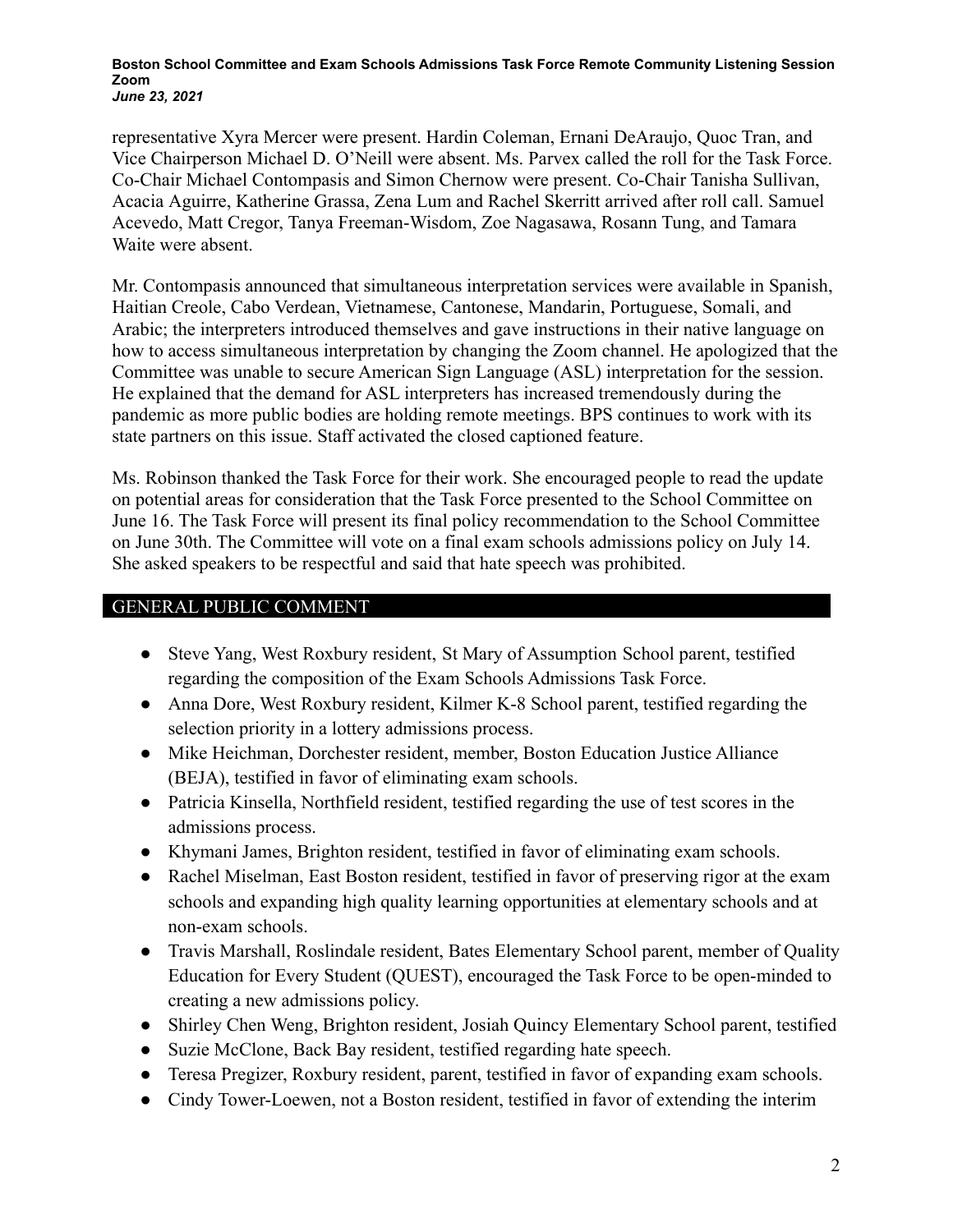**Boston School Committee and Exam Schools Admissions Task Force Remote Community Listening Session Zoom** *June 23, 2021*

representative Xyra Mercer were present. Hardin Coleman, Ernani DeAraujo, Quoc Tran, and Vice Chairperson Michael D. O'Neill were absent. Ms. Parvex called the roll for the Task Force. Co-Chair Michael Contompasis and Simon Chernow were present. Co-Chair Tanisha Sullivan, Acacia Aguirre, Katherine Grassa, Zena Lum and Rachel Skerritt arrived after roll call. Samuel Acevedo, Matt Cregor, Tanya Freeman-Wisdom, Zoe Nagasawa, Rosann Tung, and Tamara Waite were absent.

Mr. Contompasis announced that simultaneous interpretation services were available in Spanish, Haitian Creole, Cabo Verdean, Vietnamese, Cantonese, Mandarin, Portuguese, Somali, and Arabic; the interpreters introduced themselves and gave instructions in their native language on how to access simultaneous interpretation by changing the Zoom channel. He apologized that the Committee was unable to secure American Sign Language (ASL) interpretation for the session. He explained that the demand for ASL interpreters has increased tremendously during the pandemic as more public bodies are holding remote meetings. BPS continues to work with its state partners on this issue. Staff activated the closed captioned feature.

Ms. Robinson thanked the Task Force for their work. She encouraged people to read the update on potential areas for consideration that the Task Force presented to the School Committee on June 16. The Task Force will present its final policy recommendation to the School Committee on June 30th. The Committee will vote on a final exam schools admissions policy on July 14. She asked speakers to be respectful and said that hate speech was prohibited.

## GENERAL PUBLIC COMMENT

- Steve Yang, West Roxbury resident, St Mary of Assumption School parent, testified regarding the composition of the Exam Schools Admissions Task Force.
- Anna Dore, West Roxbury resident, Kilmer K-8 School parent, testified regarding the selection priority in a lottery admissions process.
- Mike Heichman, Dorchester resident, member, Boston Education Justice Alliance (BEJA), testified in favor of eliminating exam schools.
- Patricia Kinsella, Northfield resident, testified regarding the use of test scores in the admissions process.
- Khymani James, Brighton resident, testified in favor of eliminating exam schools.
- Rachel Miselman, East Boston resident, testified in favor of preserving rigor at the exam schools and expanding high quality learning opportunities at elementary schools and at non-exam schools.
- Travis Marshall, Roslindale resident, Bates Elementary School parent, member of Quality Education for Every Student (QUEST), encouraged the Task Force to be open-minded to creating a new admissions policy.
- Shirley Chen Weng, Brighton resident, Josiah Quincy Elementary School parent, testified
- Suzie McClone, Back Bay resident, testified regarding hate speech.
- Teresa Pregizer, Roxbury resident, parent, testified in favor of expanding exam schools.
- Cindy Tower-Loewen, not a Boston resident, testified in favor of extending the interim